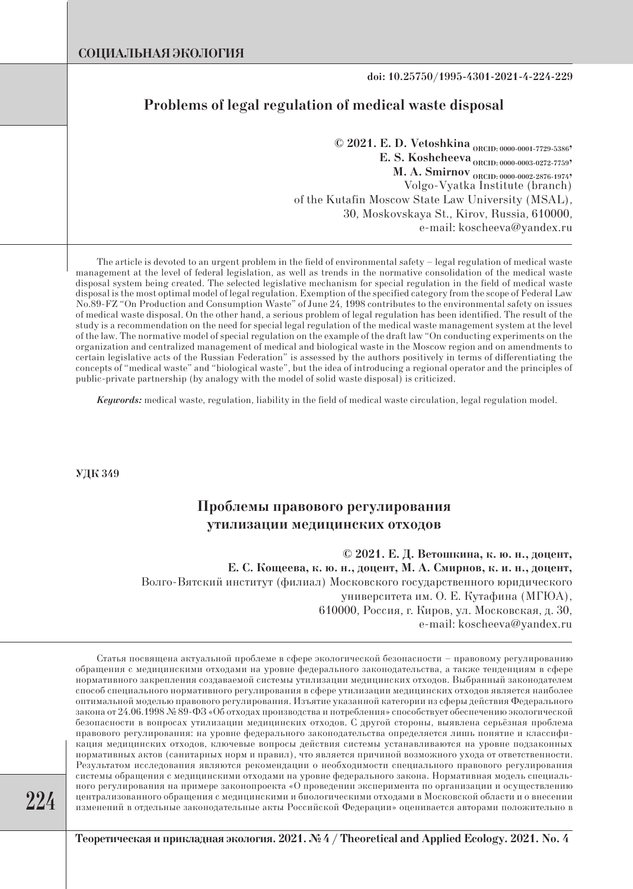**doi: 10.25750/1995-4301-2021-4-224-229**

## **Problems of legal regulation of medical waste disposal**

**© 2021. E. D. Vetoshkina ORCID: 0000-0001-7729-5386, E. S. Koshcheeva** <sub>ORCID: 0000-0003-0272-7759</sub>, **M. A. Smirnov** ORCID: 0000-0002-2876-1974? Volgo-Vyatka Institute (branch) of the Kutafin Moscow State Law University (MSAL), 30, Moskovskaya St., Kirov, Russia, 610000, e-mail: koscheeva@yandex.ru

The article is devoted to an urgent problem in the field of environmental safety – legal regulation of medical waste management at the level of federal legislation, as well as trends in the normative consolidation of the medical waste disposal system being created. The selected legislative mechanism for special regulation in the field of medical waste disposal is the most optimal model of legal regulation. Exemption of the specified category from the scope of Federal Law No.89-FZ "On Production and Consumption Waste" of June 24, 1998 contributes to the environmental safety on issues of medical waste disposal. On the other hand, a serious problem of legal regulation has been identified. The result of the study is a recommendation on the need for special legal regulation of the medical waste management system at the level of the law. The normative model of special regulation on the example of the draft law "On conducting experiments on the organization and centralized management of medical and biological waste in the Moscow region and on amendments to certain legislative acts of the Russian Federation" is assessed by the authors positively in terms of differentiating the concepts of "medical waste" and "biological waste", but the idea of introducing a regional operator and the principles of public-private partnership (by analogy with the model of solid waste disposal) is criticized.

*Keywords:* medical waste, regulation, liability in the field of medical waste circulation, legal regulation model.

**УДК 349**

# **Проблемы правового регулирования утилизации медицинских отходов**

**© 2021. Е. Д. Ветошкина, к. ю. н., доцент, Е. С. Кощеева, к. ю. н., доцент, М. А. Смирнов, к. и. н., доцент,** Волго-Вятский институт (филиал) Московского государственного юридического университета им. О. Е. Кутафина (МГЮА), 610000, Россия, г. Киров, ул. Московская, д. 30, e-mail: koscheeva@yandex.ru

Статья посвящена актуальной проблеме в сфере экологической безопасности – правовому регулированию обращения с медицинскими отходами на уровне федерального законодательства, а также тенденциям в сфере нормативного закрепления создаваемой системы утилизации медицинских отходов. Выбранный законодателем способ специального нормативного регулирования в сфере утилизации медицинских отходов является наиболее оптимальной моделью правового регулирования. Изъятие указанной категории из сферы действия Федерального закона от 24.06.1998 № 89-ФЗ «Об отходах производства и потребления» способствует обеспечению экологической безопасности в вопросах утилизации медицинских отходов. С другой стороны, выявлена серьёзная проблема правового регулирования: на уровне федерального законодательства определяется лишь понятие и классификация медицинских отходов, ключевые вопросы действия системы устанавливаются на уровне подзаконных нормативных актов (санитарных норм и правил), что является причиной возможного ухода от ответственности. Результатом исследования являются рекомендации о необходимости специального правового регулирования системы обращения с медицинскими отходами на уровне федерального закона. Нормативная модель специального регулирования на примере законопроекта «О проведении эксперимента по организации и осуществлению централизованного обращения с медицинскими и биологическими отходами в Московской области и о внесении изменений в отдельные законодательные акты Российской Федерации» оценивается авторами положительно в

**224**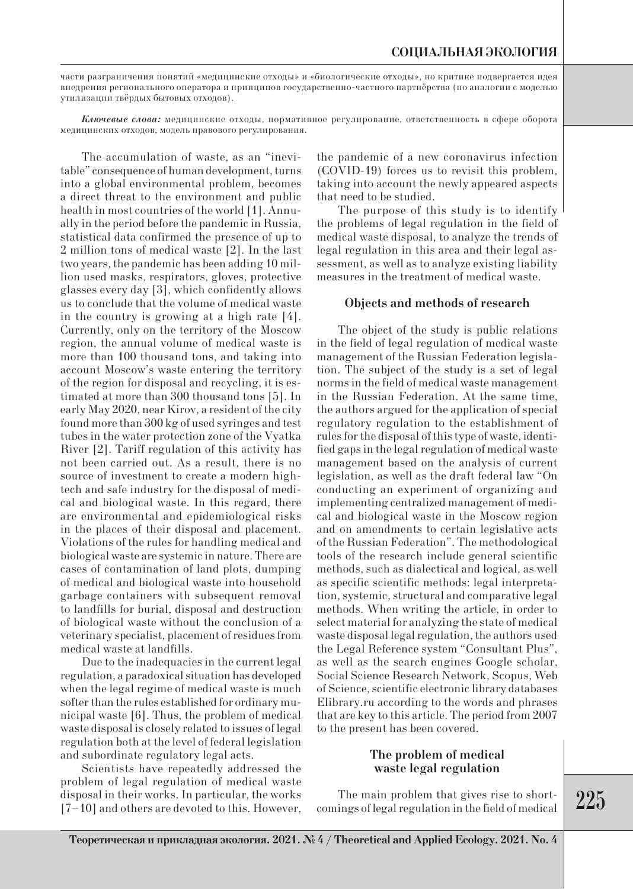части разграничения понятий «медицинские отходы» и «биологические отходы», но критике подвергается идея внедрения регионального оператора и принципов государственно-частного партнёрства (по аналогии с моделью утилизации твёрдых бытовых отходов).

*Ключевые слова:* медицинские отходы, нормативное регулирование, ответственность в сфере оборота медицинских отходов, модель правового регулирования.

The accumulation of waste, as an "inevitable" consequence of human development, turns into a global environmental problem, becomes a direct threat to the environment and public health in most countries of the world [1]. Annually in the period before the pandemic in Russia, statistical data confirmed the presence of up to 2 million tons of medical waste [2]. In the last two years, the pandemic has been adding 10 million used masks, respirators, gloves, protective glasses every day [3], which confidently allows us to conclude that the volume of medical waste in the country is growing at a high rate [4]. Currently, only on the territory of the Moscow region, the annual volume of medical waste is more than 100 thousand tons, and taking into account Moscow's waste entering the territory of the region for disposal and recycling, it is estimated at more than 300 thousand tons [5]. In early May 2020, near Kirov, a resident of the city found more than 300 kg of used syringes and test tubes in the water protection zone of the Vyatka River [2]. Tariff regulation of this activity has not been carried out. As a result, there is no source of investment to create a modern hightech and safe industry for the disposal of medical and biological waste. In this regard, there are environmental and epidemiological risks in the places of their disposal and placement. Violations of the rules for handling medical and biological waste are systemic in nature. There are cases of contamination of land plots, dumping of medical and biological waste into household garbage containers with subsequent removal to landfills for burial, disposal and destruction of biological waste without the conclusion of a veterinary specialist, placement of residues from medical waste at landfills.

Due to the inadequacies in the current legal regulation, a paradoxical situation has developed when the legal regime of medical waste is much softer than the rules established for ordinary municipal waste [6]. Thus, the problem of medical waste disposal is closely related to issues of legal regulation both at the level of federal legislation and subordinate regulatory legal acts.

Scientists have repeatedly addressed the problem of legal regulation of medical waste disposal in their works. In particular, the works [7–10] and others are devoted to this. However, the pandemic of a new coronavirus infection (COVID-19) forces us to revisit this problem, taking into account the newly appeared aspects that need to be studied.

The purpose of this study is to identify the problems of legal regulation in the field of medical waste disposal, to analyze the trends of legal regulation in this area and their legal assessment, as well as to analyze existing liability measures in the treatment of medical waste.

#### **Objects and methods of research**

The object of the study is public relations in the field of legal regulation of medical waste management of the Russian Federation legislation. The subject of the study is a set of legal norms in the field of medical waste management in the Russian Federation. At the same time, the authors argued for the application of special regulatory regulation to the establishment of rules for the disposal of this type of waste, identified gaps in the legal regulation of medical waste management based on the analysis of current legislation, as well as the draft federal law "On conducting an experiment of organizing and implementing centralized management of medical and biological waste in the Moscow region and on amendments to certain legislative acts of the Russian Federation". The methodological tools of the research include general scientific methods, such as dialectical and logical, as well as specific scientific methods: legal interpretation, systemic, structural and comparative legal methods. When writing the article, in order to select material for analyzing the state of medical waste disposal legal regulation, the authors used the Legal Reference system "Consultant Plus", as well as the search engines Google scholar, Social Science Research Network, Scopus, Web of Science, scientific electronic library databases Elibrary.ru according to the words and phrases that are key to this article. The period from 2007 to the present has been covered.

### **The problem of medical waste legal regulation**

The main problem that gives rise to shortcomings of legal regulation in the field of medical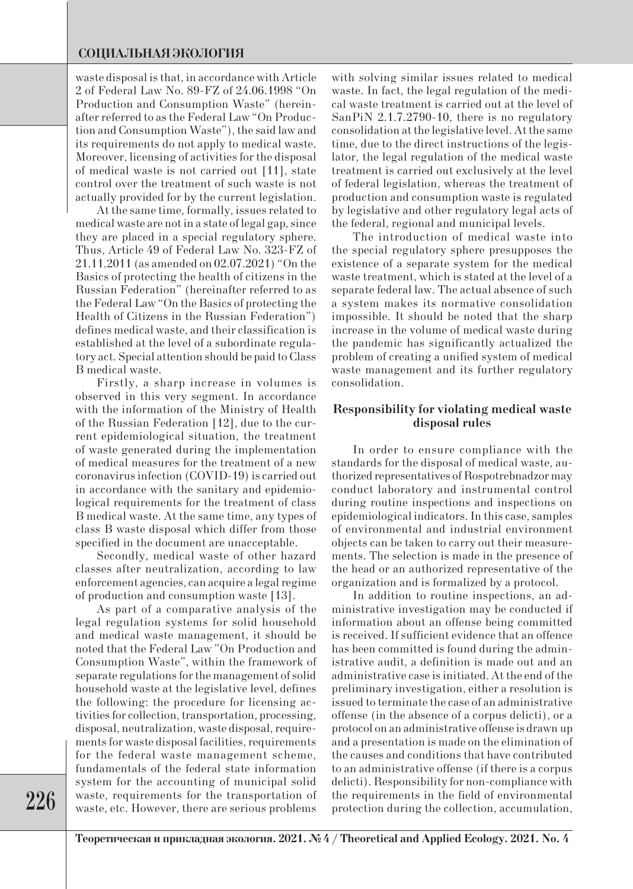## **СОЦИАЛЬНАЯ ЭКОЛОГИЯ**

waste disposal is that, in accordance with Article 2 of Federal Law No. 89-FZ of 24.06.1998 "On Production and Consumption Waste" (hereinafter referred to as the Federal Law "On Production and Consumption Waste"), the said law and its requirements do not apply to medical waste. Moreover, licensing of activities for the disposal of medical waste is not carried out [11], state control over the treatment of such waste is not actually provided for by the current legislation.

At the same time, formally, issues related to medical waste are not in a state of legal gap, since they are placed in a special regulatory sphere. Thus, Article 49 of Federal Law No. 323-FZ of 21.11.2011 (as amended on 02.07.2021) "On the Basics of protecting the health of citizens in the Russian Federation" (hereinafter referred to as the Federal Law "On the Basics of protecting the Health of Citizens in the Russian Federation") defines medical waste, and their classification is established at the level of a subordinate regulatory act. Special attention should be paid to Class B medical waste.

Firstly, a sharp increase in volumes is observed in this very segment. In accordance with the information of the Ministry of Health of the Russian Federation [12], due to the current epidemiological situation, the treatment of waste generated during the implementation of medical measures for the treatment of a new coronavirus infection (COVID-19) is carried out in accordance with the sanitary and epidemiological requirements for the treatment of class B medical waste. At the same time, any types of class B waste disposal which differ from those specified in the document are unacceptable.

Secondly, medical waste of other hazard classes after neutralization, according to law enforcement agencies, can acquire a legal regime of production and consumption waste [13].

As part of a comparative analysis of the legal regulation systems for solid household and medical waste management, it should be noted that the Federal Law "On Production and Consumption Waste", within the framework of separate regulations for the management of solid household waste at the legislative level, defines the following: the procedure for licensing activities for collection, transportation, processing, disposal, neutralization, waste disposal, requirements for waste disposal facilities, requirements for the federal waste management scheme, fundamentals of the federal state information system for the accounting of municipal solid waste, requirements for the transportation of waste, etc. However, there are serious problems with solving similar issues related to medical waste. In fact, the legal regulation of the medical waste treatment is carried out at the level of SanPiN 2.1.7.2790-10, there is no regulatory consolidation at the legislative level. At the same time, due to the direct instructions of the legislator, the legal regulation of the medical waste treatment is carried out exclusively at the level of federal legislation, whereas the treatment of production and consumption waste is regulated by legislative and other regulatory legal acts of the federal, regional and municipal levels.

The introduction of medical waste into the special regulatory sphere presupposes the existence of a separate system for the medical waste treatment, which is stated at the level of a separate federal law. The actual absence of such a system makes its normative consolidation impossible. It should be noted that the sharp increase in the volume of medical waste during the pandemic has significantly actualized the problem of creating a unified system of medical waste management and its further regulatory consolidation.

## **Responsibility for violating medical waste disposal rules**

In order to ensure compliance with the standards for the disposal of medical waste, authorized representatives of Rospotrebnadzor may conduct laboratory and instrumental control during routine inspections and inspections on epidemiological indicators. In this case, samples of environmental and industrial environment objects can be taken to carry out their measurements. The selection is made in the presence of the head or an authorized representative of the organization and is formalized by a protocol.

In addition to routine inspections, an administrative investigation may be conducted if information about an offense being committed is received. If sufficient evidence that an offence has been committed is found during the administrative audit, a definition is made out and an administrative case is initiated. At the end of the preliminary investigation, either a resolution is issued to terminate the case of an administrative offense (in the absence of a corpus delicti), or a protocol on an administrative offense is drawn up and a presentation is made on the elimination of the causes and conditions that have contributed to an administrative offense (if there is a corpus delicti). Responsibility for non-compliance with the requirements in the field of environmental protection during the collection, accumulation,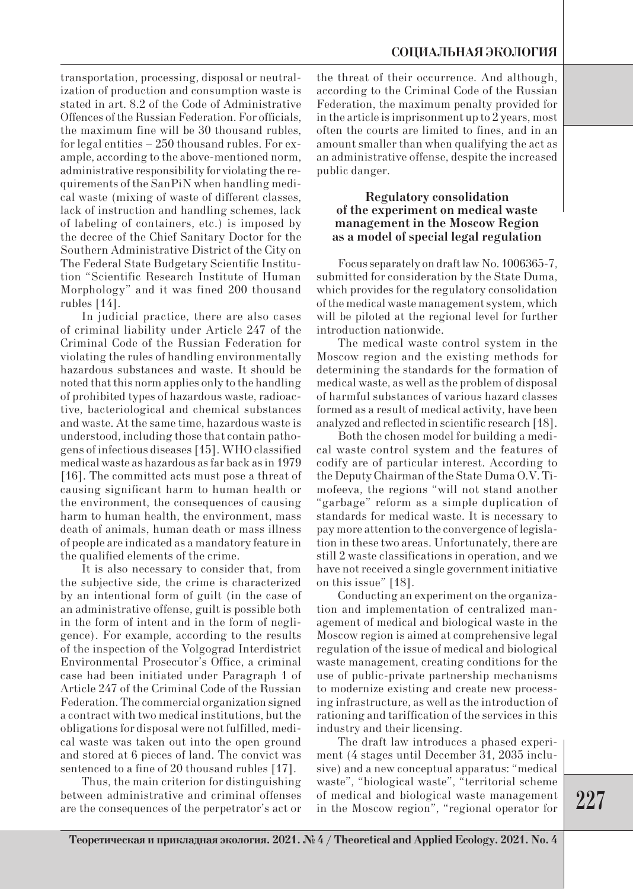transportation, processing, disposal or neutralization of production and consumption waste is stated in art. 8.2 of the Code of Administrative Offences of the Russian Federation. For officials, the maximum fine will be 30 thousand rubles, for legal entities – 250 thousand rubles. For example, according to the above-mentioned norm, administrative responsibility for violating the requirements of the SanPiN when handling medical waste (mixing of waste of different classes, lack of instruction and handling schemes, lack of labeling of containers, etc.) is imposed by the decree of the Chief Sanitary Doctor for the Southern Administrative District of the City on The Federal State Budgetary Scientific Institution "Scientific Research Institute of Human Morphology" and it was fined 200 thousand rubles [14].

In judicial practice, there are also cases of criminal liability under Article 247 of the Criminal Code of the Russian Federation for violating the rules of handling environmentally hazardous substances and waste. It should be noted that this norm applies only to the handling of prohibited types of hazardous waste, radioactive, bacteriological and chemical substances and waste. At the same time, hazardous waste is understood, including those that contain pathogens of infectious diseases [15]. WHO classified medical waste as hazardous as far back as in 1979 [16]. The committed acts must pose a threat of causing significant harm to human health or the environment, the consequences of causing harm to human health, the environment, mass death of animals, human death or mass illness of people are indicated as a mandatory feature in the qualified elements of the crime.

It is also necessary to consider that, from the subjective side, the crime is characterized by an intentional form of guilt (in the case of an administrative offense, guilt is possible both in the form of intent and in the form of negligence). For example, according to the results of the inspection of the Volgograd Interdistrict Environmental Prosecutor's Office, a criminal case had been initiated under Paragraph 1 of Article 247 of the Criminal Code of the Russian Federation. The commercial organization signed a contract with two medical institutions, but the obligations for disposal were not fulfilled, medical waste was taken out into the open ground and stored at 6 pieces of land. The convict was sentenced to a fine of 20 thousand rubles [17].

Thus, the main criterion for distinguishing between administrative and criminal offenses are the consequences of the perpetrator's act or the threat of their occurrence. And although, according to the Criminal Code of the Russian Federation, the maximum penalty provided for in the article is imprisonment up to 2 years, most often the courts are limited to fines, and in an amount smaller than when qualifying the act as an administrative offense, despite the increased public danger.

## **Regulatory consolidation of the experiment on medical waste management in the Moscow Region as a model of special legal regulation**

Focus separately on draft law No. 1006365-7, submitted for consideration by the State Duma, which provides for the regulatory consolidation of the medical waste management system, which will be piloted at the regional level for further introduction nationwide.

The medical waste control system in the Moscow region and the existing methods for determining the standards for the formation of medical waste, as well as the problem of disposal of harmful substances of various hazard classes formed as a result of medical activity, have been analyzed and reflected in scientific research [18].

Both the chosen model for building a medical waste control system and the features of codify are of particular interest. According to the Deputy Chairman of the State Duma O.V. Timofeeva, the regions "will not stand another "garbage" reform as a simple duplication of standards for medical waste. It is necessary to pay more attention to the convergence of legislation in these two areas. Unfortunately, there are still 2 waste classifications in operation, and we have not received a single government initiative on this issue" [18].

Conducting an experiment on the organization and implementation of centralized management of medical and biological waste in the Moscow region is aimed at comprehensive legal regulation of the issue of medical and biological waste management, creating conditions for the use of public-private partnership mechanisms to modernize existing and create new processing infrastructure, as well as the introduction of rationing and tariffication of the services in this industry and their licensing.

The draft law introduces a phased experiment (4 stages until December 31, 2035 inclusive) and a new conceptual apparatus: "medical waste", "biological waste", "territorial scheme of medical and biological waste management in the Moscow region", "regional operator for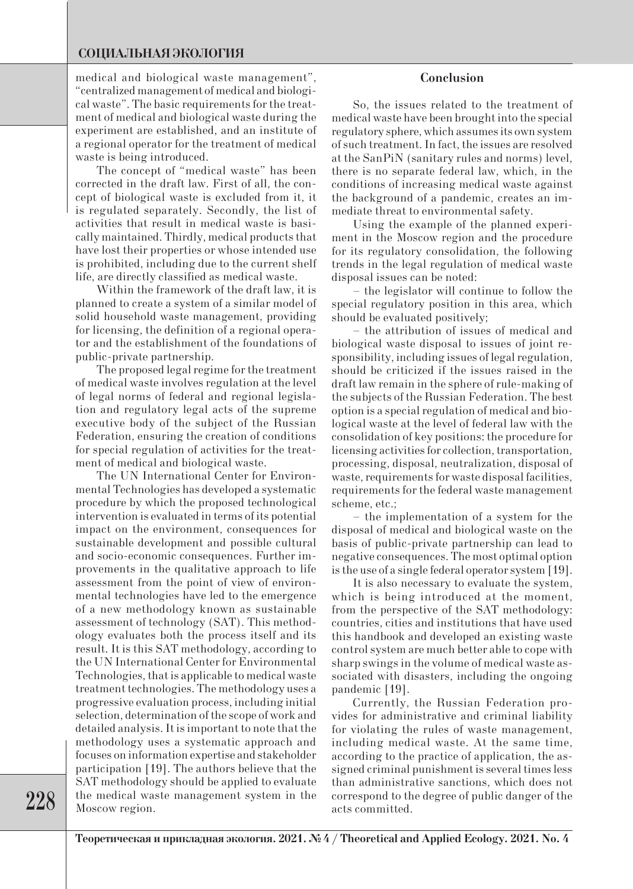## **СОЦИАЛЬНАЯ ЭКОЛОГИЯ**

medical and biological waste management", "centralized management of medical and biological waste". The basic requirements for the treatment of medical and biological waste during the experiment are established, and an institute of a regional operator for the treatment of medical waste is being introduced.

The concept of "medical waste" has been corrected in the draft law. First of all, the concept of biological waste is excluded from it, it is regulated separately. Secondly, the list of activities that result in medical waste is basically maintained. Thirdly, medical products that have lost their properties or whose intended use is prohibited, including due to the current shelf life, are directly classified as medical waste.

Within the framework of the draft law, it is planned to create a system of a similar model of solid household waste management, providing for licensing, the definition of a regional operator and the establishment of the foundations of public-private partnership.

The proposed legal regime for the treatment of medical waste involves regulation at the level of legal norms of federal and regional legislation and regulatory legal acts of the supreme executive body of the subject of the Russian Federation, ensuring the creation of conditions for special regulation of activities for the treatment of medical and biological waste.

The UN International Center for Environmental Technologies has developed a systematic procedure by which the proposed technological intervention is evaluated in terms of its potential impact on the environment, consequences for sustainable development and possible cultural and socio-economic consequences. Further improvements in the qualitative approach to life assessment from the point of view of environmental technologies have led to the emergence of a new methodology known as sustainable assessment of technology (SAT). This methodology evaluates both the process itself and its result. It is this SAT methodology, according to the UN International Center for Environmental Technologies, that is applicable to medical waste treatment technologies. The methodology uses a progressive evaluation process, including initial selection, determination of the scope of work and detailed analysis. It is important to note that the methodology uses a systematic approach and focuses on information expertise and stakeholder participation [19]. The authors believe that the SAT methodology should be applied to evaluate the medical waste management system in the Moscow region.

## **Conclusion**

So, the issues related to the treatment of medical waste have been brought into the special regulatory sphere, which assumes its own system of such treatment. In fact, the issues are resolved at the SanPiN (sanitary rules and norms) level, there is no separate federal law, which, in the conditions of increasing medical waste against the background of a pandemic, creates an immediate threat to environmental safety.

Using the example of the planned experiment in the Moscow region and the procedure for its regulatory consolidation, the following trends in the legal regulation of medical waste disposal issues can be noted:

– the legislator will continue to follow the special regulatory position in this area, which should be evaluated positively;

– the attribution of issues of medical and biological waste disposal to issues of joint responsibility, including issues of legal regulation, should be criticized if the issues raised in the draft law remain in the sphere of rule-making of the subjects of the Russian Federation. The best option is a special regulation of medical and biological waste at the level of federal law with the consolidation of key positions: the procedure for licensing activities for collection, transportation, processing, disposal, neutralization, disposal of waste, requirements for waste disposal facilities, requirements for the federal waste management scheme, etc.;

– the implementation of a system for the disposal of medical and biological waste on the basis of public-private partnership can lead to negative consequences. The most optimal option is the use of a single federal operator system [19].

It is also necessary to evaluate the system, which is being introduced at the moment, from the perspective of the SAT methodology: countries, cities and institutions that have used this handbook and developed an existing waste control system are much better able to cope with sharp swings in the volume of medical waste associated with disasters, including the ongoing pandemic [19].

Currently, the Russian Federation provides for administrative and criminal liability for violating the rules of waste management, including medical waste. At the same time, according to the practice of application, the assigned criminal punishment is several times less than administrative sanctions, which does not correspond to the degree of public danger of the acts committed.

**228**